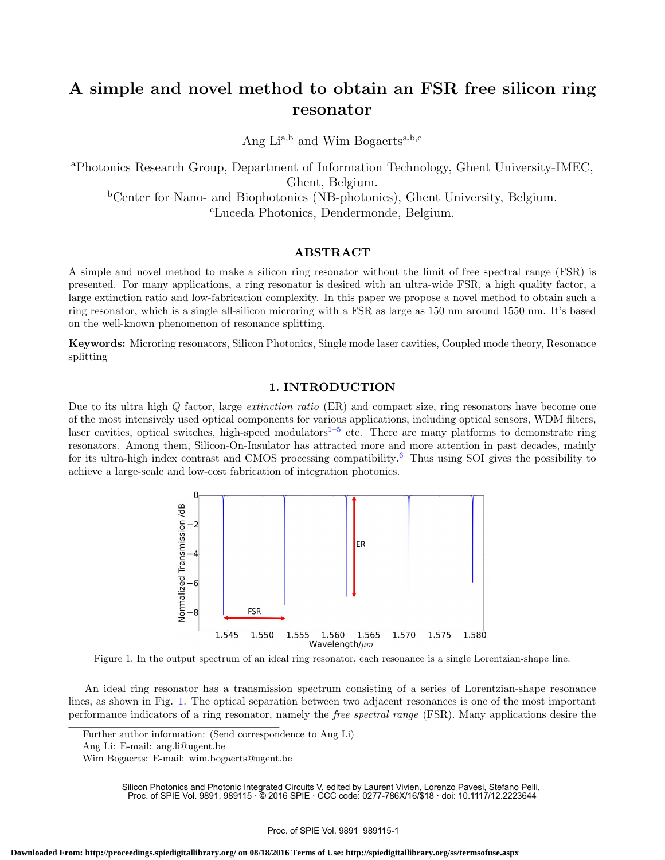# A simple and novel method to obtain an FSR free silicon ring resonator

Ang Li<sup>a,b</sup> and Wim Bogaerts<sup>a,b,c</sup>

<sup>a</sup>Photonics Research Group, Department of Information Technology, Ghent University-IMEC, Ghent, Belgium.

<sup>b</sup>Center for Nano- and Biophotonics (NB-photonics), Ghent University, Belgium. <sup>c</sup>Luceda Photonics, Dendermonde, Belgium.

## ABSTRACT

A simple and novel method to make a silicon ring resonator without the limit of free spectral range (FSR) is presented. For many applications, a ring resonator is desired with an ultra-wide FSR, a high quality factor, a large extinction ratio and low-fabrication complexity. In this paper we propose a novel method to obtain such a ring resonator, which is a single all-silicon microring with a FSR as large as 150 nm around 1550 nm. It's based on the well-known phenomenon of resonance splitting.

Keywords: Microring resonators, Silicon Photonics, Single mode laser cavities, Coupled mode theory, Resonance splitting

## 1. INTRODUCTION

Due to its ultra high Q factor, large extinction ratio (ER) and compact size, ring resonators have become one of the most intensively used optical components for various applications, including optical sensors, WDM filters, laser cavities, optical switches, high-speed modulators<sup>1–5</sup> etc. There are many platforms to demonstrate ring resonators. Among them, Silicon-On-Insulator has attracted more and more attention in past decades, mainly for its ultra-high index contrast and CMOS processing compatibility.<sup>6</sup> Thus using SOI gives the possibility to achieve a large-scale and low-cost fabrication of integration photonics.



Figure 1. In the output spectrum of an ideal ring resonator, each resonance is a single Lorentzian-shape line.

An ideal ring resonator has a transmission spectrum consisting of a series of Lorentzian-shape resonance lines, as shown in Fig. 1. The optical separation between two adjacent resonances is one of the most important performance indicators of a ring resonator, namely the free spectral range (FSR). Many applications desire the

Further author information: (Send correspondence to Ang Li)

Silicon Photonics and Photonic Integrated Circuits V, edited by Laurent Vivien, Lorenzo Pavesi, Stefano Pelli, Proc. of SPIE Vol. 9891, 989115 · © 2016 SPIE · CCC code: 0277-786X/16/\$18 · doi: 10.1117/12.2223644

Ang Li: E-mail: ang.li@ugent.be

Wim Bogaerts: E-mail: wim.bogaerts@ugent.be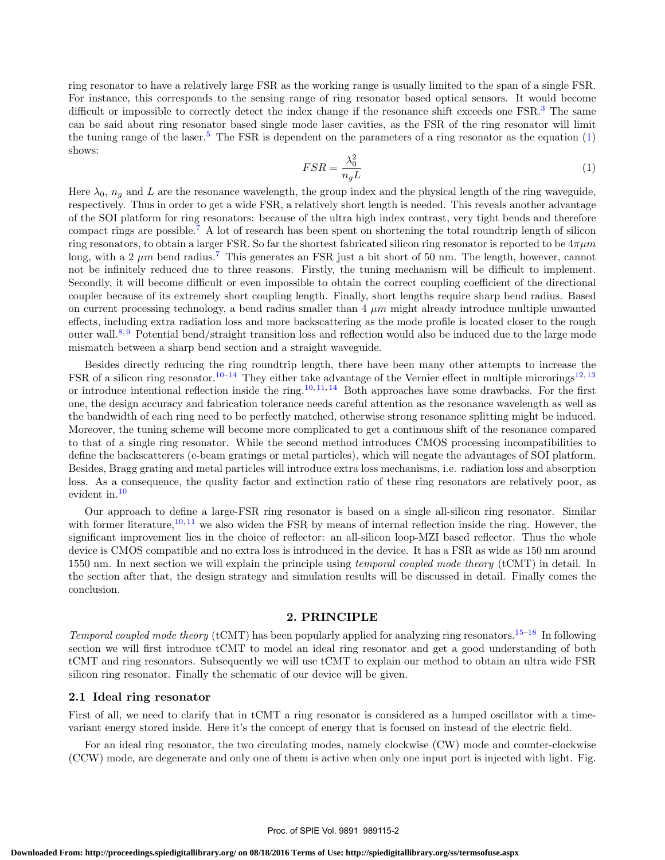ring resonator to have a relatively large FSR as the working range is usually limited to the span of a single FSR. For instance, this corresponds to the sensing range of ring resonator based optical sensors. It would become difficult or impossible to correctly detect the index change if the resonance shift exceeds one FSR.<sup>3</sup> The same can be said about ring resonator based single mode laser cavities, as the FSR of the ring resonator will limit the tuning range of the laser.<sup>5</sup> The FSR is dependent on the parameters of a ring resonator as the equation  $(1)$ shows:

$$
FSR = \frac{\lambda_0^2}{n_g L} \tag{1}
$$

Here  $\lambda_0$ ,  $n_q$  and L are the resonance wavelength, the group index and the physical length of the ring waveguide, respectively. Thus in order to get a wide FSR, a relatively short length is needed. This reveals another advantage of the SOI platform for ring resonators: because of the ultra high index contrast, very tight bends and therefore compact rings are possible.<sup>7</sup> A lot of research has been spent on shortening the total roundtrip length of silicon ring resonators, to obtain a larger FSR. So far the shortest fabricated silicon ring resonator is reported to be  $4\pi\mu m$ long, with a 2  $\mu$ m bend radius.<sup>7</sup> This generates an FSR just a bit short of 50 nm. The length, however, cannot not be infinitely reduced due to three reasons. Firstly, the tuning mechanism will be difficult to implement. Secondly, it will become difficult or even impossible to obtain the correct coupling coefficient of the directional coupler because of its extremely short coupling length. Finally, short lengths require sharp bend radius. Based on current processing technology, a bend radius smaller than  $4 \mu m$  might already introduce multiple unwanted effects, including extra radiation loss and more backscattering as the mode profile is located closer to the rough outer wall.<sup>8, 9</sup> Potential bend/straight transition loss and reflection would also be induced due to the large mode mismatch between a sharp bend section and a straight waveguide.

Besides directly reducing the ring roundtrip length, there have been many other attempts to increase the FSR of a silicon ring resonator.<sup>10–14</sup> They either take advantage of the Vernier effect in multiple microrings<sup>12, 13</sup> or introduce intentional reflection inside the ring.<sup>10, 11, 14</sup> Both approaches have some drawbacks. For the first one, the design accuracy and fabrication tolerance needs careful attention as the resonance wavelength as well as the bandwidth of each ring need to be perfectly matched, otherwise strong resonance splitting might be induced. Moreover, the tuning scheme will become more complicated to get a continuous shift of the resonance compared to that of a single ring resonator. While the second method introduces CMOS processing incompatibilities to define the backscatterers (e-beam gratings or metal particles), which will negate the advantages of SOI platform. Besides, Bragg grating and metal particles will introduce extra loss mechanisms, i.e. radiation loss and absorption loss. As a consequence, the quality factor and extinction ratio of these ring resonators are relatively poor, as evident in.<sup>10</sup>

Our approach to define a large-FSR ring resonator is based on a single all-silicon ring resonator. Similar with former literature,<sup>10, 11</sup> we also widen the FSR by means of internal reflection inside the ring. However, the significant improvement lies in the choice of reflector: an all-silicon loop-MZI based reflector. Thus the whole device is CMOS compatible and no extra loss is introduced in the device. It has a FSR as wide as 150 nm around 1550 nm. In next section we will explain the principle using *temporal coupled mode theory* (tCMT) in detail. In the section after that, the design strategy and simulation results will be discussed in detail. Finally comes the conclusion.

# 2. PRINCIPLE

Temporal coupled mode theory (tCMT) has been popularly applied for analyzing ring resonators.<sup>15–18</sup> In following section we will first introduce tCMT to model an ideal ring resonator and get a good understanding of both tCMT and ring resonators. Subsequently we will use tCMT to explain our method to obtain an ultra wide FSR silicon ring resonator. Finally the schematic of our device will be given.

# 2.1 Ideal ring resonator

First of all, we need to clarify that in tCMT a ring resonator is considered as a lumped oscillator with a timevariant energy stored inside. Here it's the concept of energy that is focused on instead of the electric field.

For an ideal ring resonator, the two circulating modes, namely clockwise (CW) mode and counter-clockwise (CCW) mode, are degenerate and only one of them is active when only one input port is injected with light. Fig.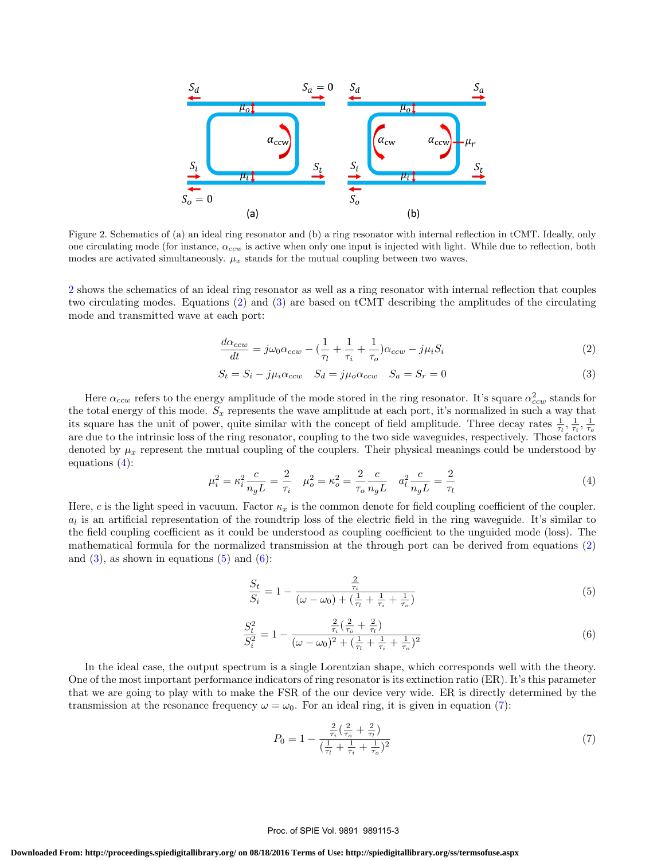

Figure 2. Schematics of (a) an ideal ring resonator and (b) a ring resonator with internal reflection in tCMT. Ideally, only one circulating mode (for instance,  $\alpha_{ccw}$  is active when only one input is injected with light. While due to reflection, both modes are activated simultaneously.  $\mu_x$  stands for the mutual coupling between two waves.

2 shows the schematics of an ideal ring resonator as well as a ring resonator with internal reflection that couples two circulating modes. Equations (2) and (3) are based on tCMT describing the amplitudes of the circulating mode and transmitted wave at each port:

$$
\frac{d\alpha_{ccw}}{dt} = j\omega_0 \alpha_{ccw} - \left(\frac{1}{\tau_l} + \frac{1}{\tau_i} + \frac{1}{\tau_o}\right) \alpha_{ccw} - j\mu_i S_i \tag{2}
$$

$$
S_t = S_i - j\mu_i \alpha_{ccw} \quad S_d = j\mu_o \alpha_{ccw} \quad S_a = S_r = 0 \tag{3}
$$

Here  $\alpha_{ccw}$  refers to the energy amplitude of the mode stored in the ring resonator. It's square  $\alpha_{ccw}^2$  stands for the total energy of this mode.  $S_x$  represents the wave amplitude at each port, it's normalized in such a way that its square has the unit of power, quite similar with the concept of field amplitude. Three decay rates  $\frac{1}{\tau_l}, \frac{1}{\tau_i}, \frac{1}{\tau_o}$ are due to the intrinsic loss of the ring resonator, coupling to the two side waveguides, respectively. Those factors denoted by  $\mu_x$  represent the mutual coupling of the couplers. Their physical meanings could be understood by equations (4):

$$
\mu_i^2 = \kappa_i^2 \frac{c}{n_g L} = \frac{2}{\tau_i} \quad \mu_o^2 = \kappa_o^2 = \frac{2}{\tau_o} \frac{c}{n_g L} \quad a_l^2 \frac{c}{n_g L} = \frac{2}{\tau_l}
$$
(4)

Here, c is the light speed in vacuum. Factor  $\kappa_x$  is the common denote for field coupling coefficient of the coupler.  $a_l$  is an artificial representation of the roundtrip loss of the electric field in the ring waveguide. It's similar to the field coupling coefficient as it could be understood as coupling coefficient to the unguided mode (loss). The mathematical formula for the normalized transmission at the through port can be derived from equations (2) and  $(3)$ , as shown in equations  $(5)$  and  $(6)$ :

$$
\frac{S_t}{S_i} = 1 - \frac{\frac{2}{\tau_i}}{(\omega - \omega_0) + (\frac{1}{\tau_i} + \frac{1}{\tau_i} + \frac{1}{\tau_o})}
$$
(5)

$$
\frac{S_t^2}{S_i^2} = 1 - \frac{\frac{2}{\tau_i} \left(\frac{2}{\tau_o} + \frac{2}{\tau_i}\right)}{(\omega - \omega_0)^2 + \left(\frac{1}{\tau_i} + \frac{1}{\tau_i} + \frac{1}{\tau_o}\right)^2}
$$
(6)

In the ideal case, the output spectrum is a single Lorentzian shape, which corresponds well with the theory. One of the most important performance indicators of ring resonator is its extinction ratio (ER). It's this parameter that we are going to play with to make the FSR of the our device very wide. ER is directly determined by the transmission at the resonance frequency  $\omega = \omega_0$ . For an ideal ring, it is given in equation (7):

$$
P_0 = 1 - \frac{\frac{2}{\tau_i} \left(\frac{2}{\tau_o} + \frac{2}{\tau_l}\right)}{\left(\frac{1}{\tau_l} + \frac{1}{\tau_i} + \frac{1}{\tau_o}\right)^2} \tag{7}
$$

#### Proc. of SPIE Vol. 9891 989115-3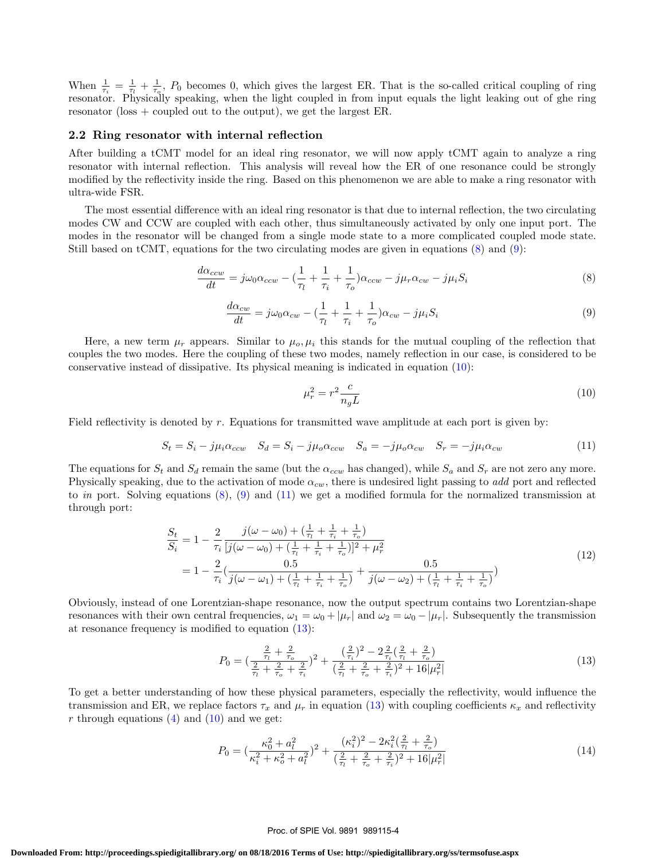When  $\frac{1}{\tau_i} = \frac{1}{\tau_i} + \frac{1}{\tau_o}$ ,  $P_0$  becomes 0, which gives the largest ER. That is the so-called critical coupling of ring resonator. Physically speaking, when the light coupled in from input equals the light leaking out of ghe ring resonator (loss + coupled out to the output), we get the largest ER.

#### 2.2 Ring resonator with internal reflection

After building a tCMT model for an ideal ring resonator, we will now apply tCMT again to analyze a ring resonator with internal reflection. This analysis will reveal how the ER of one resonance could be strongly modified by the reflectivity inside the ring. Based on this phenomenon we are able to make a ring resonator with ultra-wide FSR.

The most essential difference with an ideal ring resonator is that due to internal reflection, the two circulating modes CW and CCW are coupled with each other, thus simultaneously activated by only one input port. The modes in the resonator will be changed from a single mode state to a more complicated coupled mode state. Still based on tCMT, equations for the two circulating modes are given in equations (8) and (9):

$$
\frac{d\alpha_{ccw}}{dt} = j\omega_0 \alpha_{ccw} - \left(\frac{1}{\tau_l} + \frac{1}{\tau_i} + \frac{1}{\tau_o}\right) \alpha_{ccw} - j\mu_r \alpha_{cw} - j\mu_i S_i \tag{8}
$$

$$
\frac{d\alpha_{cw}}{dt} = j\omega_0 \alpha_{cw} - \left(\frac{1}{\tau_l} + \frac{1}{\tau_i} + \frac{1}{\tau_o}\right) \alpha_{cw} - j\mu_i S_i \tag{9}
$$

Here, a new term  $\mu_r$  appears. Similar to  $\mu_o, \mu_i$  this stands for the mutual coupling of the reflection that couples the two modes. Here the coupling of these two modes, namely reflection in our case, is considered to be conservative instead of dissipative. Its physical meaning is indicated in equation (10):

$$
\mu_r^2 = r^2 \frac{c}{n_g L} \tag{10}
$$

Field reflectivity is denoted by r. Equations for transmitted wave amplitude at each port is given by:

$$
S_t = S_i - j\mu_i \alpha_{ccw} \quad S_d = S_i - j\mu_o \alpha_{ccw} \quad S_a = -j\mu_o \alpha_{cw} \quad S_r = -j\mu_i \alpha_{cw} \tag{11}
$$

The equations for  $S_t$  and  $S_d$  remain the same (but the  $\alpha_{ccw}$  has changed), while  $S_a$  and  $S_r$  are not zero any more. Physically speaking, due to the activation of mode  $\alpha_{cw}$ , there is undesired light passing to add port and reflected to in port. Solving equations  $(8)$ ,  $(9)$  and  $(11)$  we get a modified formula for the normalized transmission at through port:

$$
\frac{S_t}{S_i} = 1 - \frac{2}{\tau_i} \frac{j(\omega - \omega_0) + (\frac{1}{\tau_i} + \frac{1}{\tau_i} + \frac{1}{\tau_o})}{[j(\omega - \omega_0) + (\frac{1}{\tau_i} + \frac{1}{\tau_i} + \frac{1}{\tau_o})]^2 + \mu_r^2}
$$
\n
$$
= 1 - \frac{2}{\tau_i} (\frac{0.5}{j(\omega - \omega_1) + (\frac{1}{\tau_i} + \frac{1}{\tau_i} + \frac{1}{\tau_o})} + \frac{0.5}{j(\omega - \omega_2) + (\frac{1}{\tau_i} + \frac{1}{\tau_i} + \frac{1}{\tau_o})})
$$
\n(12)

Obviously, instead of one Lorentzian-shape resonance, now the output spectrum contains two Lorentzian-shape resonances with their own central frequencies,  $\omega_1 = \omega_0 + |\mu_r|$  and  $\omega_2 = \omega_0 - |\mu_r|$ . Subsequently the transmission at resonance frequency is modified to equation (13):

$$
P_0 = \left(\frac{\frac{2}{\tau_l} + \frac{2}{\tau_o}}{\frac{2}{\tau_l} + \frac{2}{\tau_o} + \frac{2}{\tau_i}}\right)^2 + \frac{\left(\frac{2}{\tau_i}\right)^2 - 2\frac{2}{\tau_i}\left(\frac{2}{\tau_l} + \frac{2}{\tau_o}\right)}{\left(\frac{2}{\tau_l} + \frac{2}{\tau_o} + \frac{2}{\tau_i}\right)^2 + 16|\mu_r^2|}
$$
(13)

To get a better understanding of how these physical parameters, especially the reflectivity, would influence the transmission and ER, we replace factors  $\tau_x$  and  $\mu_r$  in equation (13) with coupling coefficients  $\kappa_x$  and reflectivity r through equations  $(4)$  and  $(10)$  and we get:

$$
P_0 = \left(\frac{\kappa_0^2 + a_l^2}{\kappa_i^2 + \kappa_o^2 + a_l^2}\right)^2 + \frac{(\kappa_i^2)^2 - 2\kappa_i^2(\frac{2}{\tau_i} + \frac{2}{\tau_o})}{(\frac{2}{\tau_i} + \frac{2}{\tau_o} + \frac{2}{\tau_i})^2 + 16|\mu_r^2|}
$$
(14)

#### Proc. of SPIE Vol. 9891 989115-4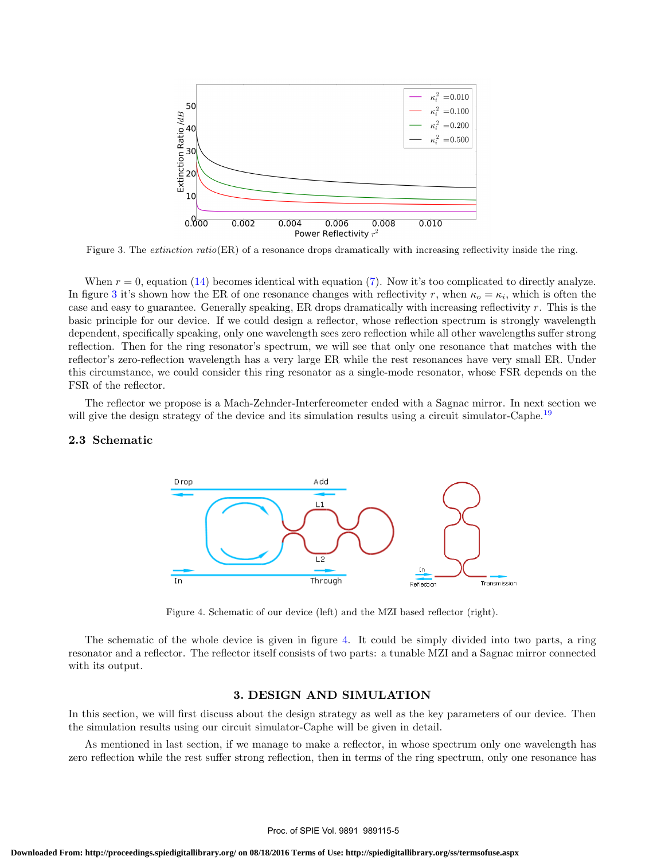

Figure 3. The *extinction ratio*(ER) of a resonance drops dramatically with increasing reflectivity inside the ring.

When  $r = 0$ , equation (14) becomes identical with equation (7). Now it's too complicated to directly analyze. In figure 3 it's shown how the ER of one resonance changes with reflectivity r, when  $\kappa_o = \kappa_i$ , which is often the case and easy to guarantee. Generally speaking, ER drops dramatically with increasing reflectivity  $r$ . This is the basic principle for our device. If we could design a reflector, whose reflection spectrum is strongly wavelength dependent, specifically speaking, only one wavelength sees zero reflection while all other wavelengths suffer strong reflection. Then for the ring resonator's spectrum, we will see that only one resonance that matches with the reflector's zero-reflection wavelength has a very large ER while the rest resonances have very small ER. Under this circumstance, we could consider this ring resonator as a single-mode resonator, whose FSR depends on the FSR of the reflector.

The reflector we propose is a Mach-Zehnder-Interfereometer ended with a Sagnac mirror. In next section we will give the design strategy of the device and its simulation results using a circuit simulator-Caphe.<sup>19</sup>

## 2.3 Schematic



Figure 4. Schematic of our device (left) and the MZI based reflector (right).

The schematic of the whole device is given in figure 4. It could be simply divided into two parts, a ring resonator and a reflector. The reflector itself consists of two parts: a tunable MZI and a Sagnac mirror connected with its output.

# 3. DESIGN AND SIMULATION

In this section, we will first discuss about the design strategy as well as the key parameters of our device. Then the simulation results using our circuit simulator-Caphe will be given in detail.

As mentioned in last section, if we manage to make a reflector, in whose spectrum only one wavelength has zero reflection while the rest suffer strong reflection, then in terms of the ring spectrum, only one resonance has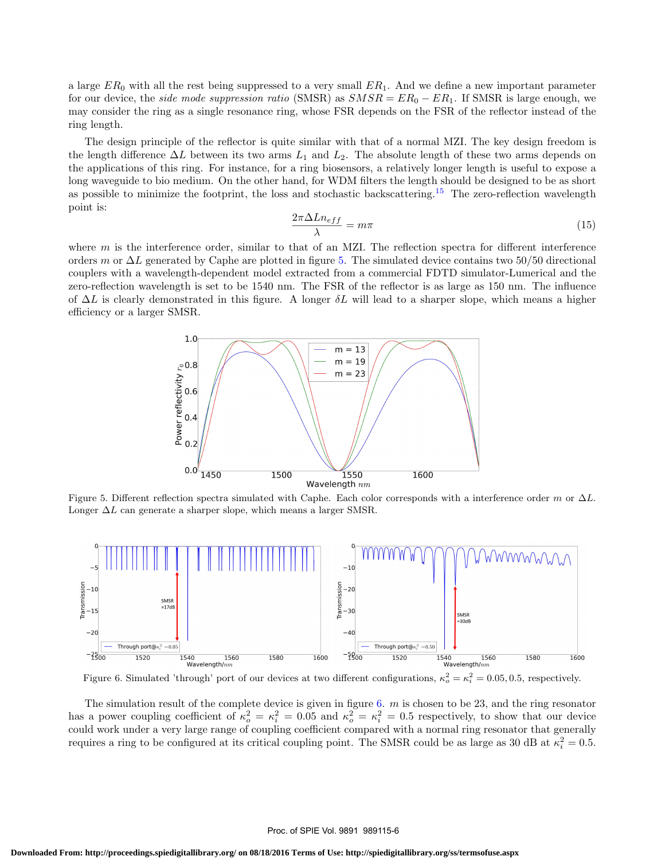a large  $ER_0$  with all the rest being suppressed to a very small  $ER_1$ . And we define a new important parameter for our device, the *side mode suppression ratio* (SMSR) as  $SMSR = ER_0 - ER_1$ . If SMSR is large enough, we may consider the ring as a single resonance ring, whose FSR depends on the FSR of the reflector instead of the ring length.

The design principle of the reflector is quite similar with that of a normal MZI. The key design freedom is the length difference  $\Delta L$  between its two arms  $L_1$  and  $L_2$ . The absolute length of these two arms depends on the applications of this ring. For instance, for a ring biosensors, a relatively longer length is useful to expose a long waveguide to bio medium. On the other hand, for WDM filters the length should be designed to be as short as possible to minimize the footprint, the loss and stochastic backscattering.<sup>15</sup> The zero-reflection wavelength point is:

$$
\frac{2\pi\Delta Ln_{eff}}{\lambda} = m\pi\tag{15}
$$

where  $m$  is the interference order, similar to that of an MZI. The reflection spectra for different interference orders m or  $\Delta L$  generated by Caphe are plotted in figure 5. The simulated device contains two 50/50 directional couplers with a wavelength-dependent model extracted from a commercial FDTD simulator-Lumerical and the zero-reflection wavelength is set to be 1540 nm. The FSR of the reflector is as large as 150 nm. The influence of  $\Delta L$  is clearly demonstrated in this figure. A longer  $\delta L$  will lead to a sharper slope, which means a higher efficiency or a larger SMSR.



Figure 5. Different reflection spectra simulated with Caphe. Each color corresponds with a interference order m or  $\Delta L$ . Longer  $\Delta L$  can generate a sharper slope, which means a larger SMSR.



Figure 6. Simulated 'through' port of our devices at two different configurations,  $\kappa_o^2 = \kappa_i^2 = 0.05, 0.5$ , respectively.

The simulation result of the complete device is given in figure  $6.$  m is chosen to be 23, and the ring resonator has a power coupling coefficient of  $\kappa_o^2 = \kappa_i^2 = 0.05$  and  $\kappa_o^2 = \kappa_i^2 = 0.5$  respectively, to show that our device could work under a very large range of coupling coefficient compared with a normal ring resonator that generally requires a ring to be configured at its critical coupling point. The SMSR could be as large as 30 dB at  $\kappa_i^2 = 0.5$ .